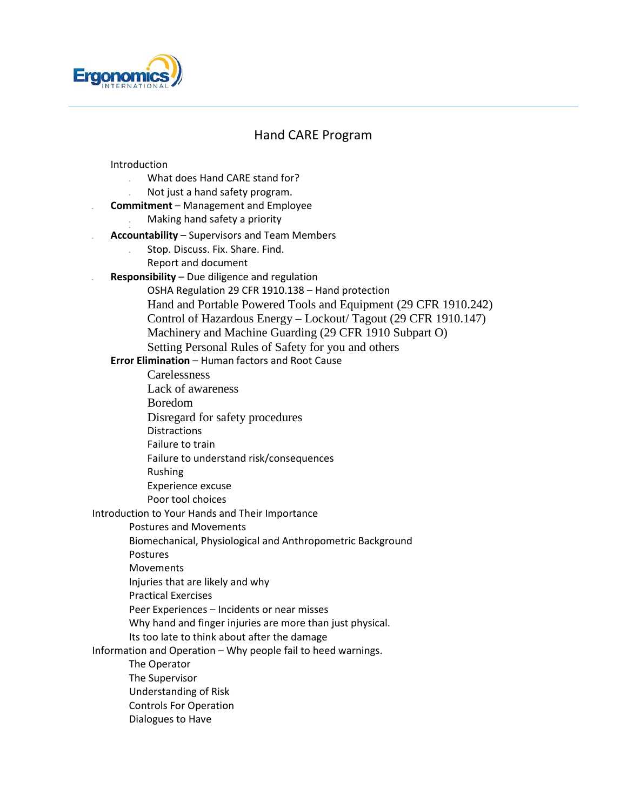

## Hand CARE Program

## Introduction

- What does Hand CARE stand for?
- Not just a hand safety program.
- **Commitment** Management and Employee
	- Making hand safety a priority
- Accountability Supervisors and Team Members
	- Stop. Discuss. Fix. Share. Find.
	- Report and document
- **Responsibility** Due diligence and regulation
	- OSHA Regulation 29 CFR 1910.138 Hand protection
		- Hand and Portable Powered Tools and Equipment (29 CFR 1910.242)
	- Control of Hazardous Energy Lockout/ Tagout (29 CFR 1910.147)
	- Machinery and Machine Guarding (29 CFR 1910 Subpart O)
	- Setting Personal Rules of Safety for you and others

## **Error Elimination** – Human factors and Root Cause

- Carelessness
- Lack of awareness
- Boredom
- Disregard for safety procedures
- **Distractions**
- Failure to train
- Failure to understand risk/consequences
- Rushing
- Experience excuse
- Poor tool choices
- Introduction to Your Hands and Their Importance
	- Postures and Movements
	- Biomechanical, Physiological and Anthropometric Background
	- Postures
	- Movements
	- Injuries that are likely and why
	- Practical Exercises
	- Peer Experiences Incidents or near misses
	- Why hand and finger injuries are more than just physical.
	- Its too late to think about after the damage
- Information and Operation Why people fail to heed warnings.
	- The Operator
	- The Supervisor
	- Understanding of Risk
	- Controls For Operation
	- Dialogues to Have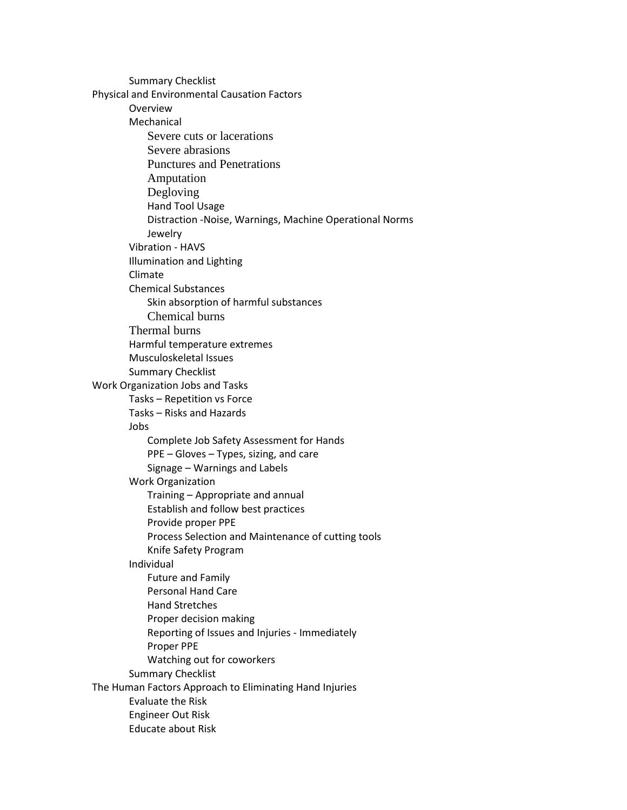Summary Checklist Physical and Environmental Causation Factors Overview Mechanical Severe cuts or lacerations Severe abrasions Punctures and Penetrations Amputation Degloving Hand Tool Usage Distraction -Noise, Warnings, Machine Operational Norms Jewelry Vibration - HAVS Illumination and Lighting Climate Chemical Substances Skin absorption of harmful substances Chemical burns Thermal burns Harmful temperature extremes Musculoskeletal Issues Summary Checklist Work Organization Jobs and Tasks Tasks – Repetition vs Force Tasks – Risks and Hazards Jobs Complete Job Safety Assessment for Hands PPE – Gloves – Types, sizing, and care Signage – Warnings and Labels Work Organization Training – Appropriate and annual Establish and follow best practices Provide proper PPE Process Selection and Maintenance of cutting tools Knife Safety Program Individual Future and Family Personal Hand Care Hand Stretches Proper decision making Reporting of Issues and Injuries - Immediately Proper PPE Watching out for coworkers Summary Checklist The Human Factors Approach to Eliminating Hand Injuries Evaluate the Risk Engineer Out Risk Educate about Risk